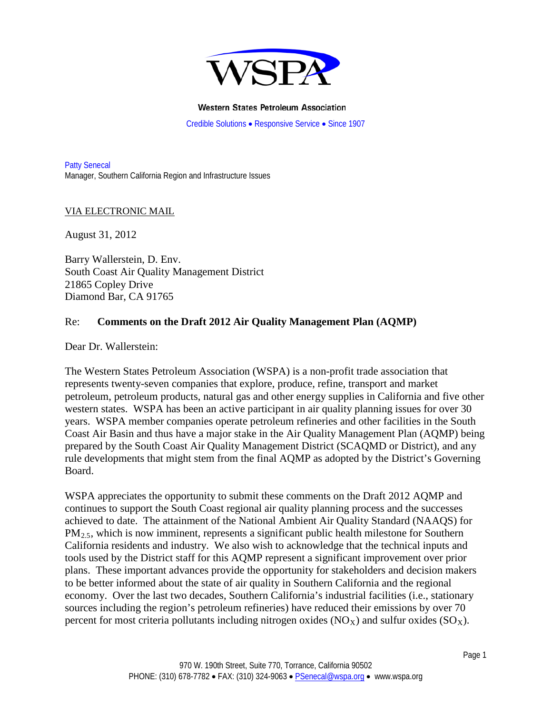

#### **Western States Petroleum Association**

Credible Solutions • Responsive Service • Since 1907

Patty Senecal Manager, Southern California Region and Infrastructure Issues

#### VIA ELECTRONIC MAIL

August 31, 2012

Barry Wallerstein, D. Env. South Coast Air Quality Management District 21865 Copley Drive Diamond Bar, CA 91765

#### Re: **Comments on the Draft 2012 Air Quality Management Plan (AQMP)**

Dear Dr. Wallerstein:

The Western States Petroleum Association (WSPA) is a non-profit trade association that represents twenty-seven companies that explore, produce, refine, transport and market petroleum, petroleum products, natural gas and other energy supplies in California and five other western states. WSPA has been an active participant in air quality planning issues for over 30 years. WSPA member companies operate petroleum refineries and other facilities in the South Coast Air Basin and thus have a major stake in the Air Quality Management Plan (AQMP) being prepared by the South Coast Air Quality Management District (SCAQMD or District), and any rule developments that might stem from the final AQMP as adopted by the District's Governing Board.

WSPA appreciates the opportunity to submit these comments on the Draft 2012 AQMP and continues to support the South Coast regional air quality planning process and the successes achieved to date. The attainment of the National Ambient Air Quality Standard (NAAQS) for  $PM_{2.5}$ , which is now imminent, represents a significant public health milestone for Southern California residents and industry. We also wish to acknowledge that the technical inputs and tools used by the District staff for this AQMP represent a significant improvement over prior plans. These important advances provide the opportunity for stakeholders and decision makers to be better informed about the state of air quality in Southern California and the regional economy. Over the last two decades, Southern California's industrial facilities (i.e., stationary sources including the region's petroleum refineries) have reduced their emissions by over 70 percent for most criteria pollutants including nitrogen oxides ( $NO_X$ ) and sulfur oxides ( $SO_X$ ).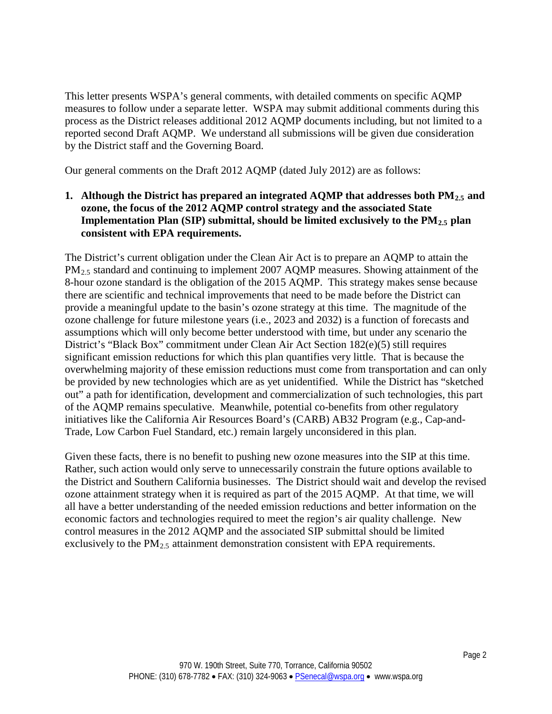This letter presents WSPA's general comments, with detailed comments on specific AQMP measures to follow under a separate letter. WSPA may submit additional comments during this process as the District releases additional 2012 AQMP documents including, but not limited to a reported second Draft AQMP. We understand all submissions will be given due consideration by the District staff and the Governing Board.

Our general comments on the Draft 2012 AQMP (dated July 2012) are as follows:

## **1.** Although the District has prepared an integrated AQMP that addresses both PM<sub>2.5</sub> and **ozone, the focus of the 2012 AQMP control strategy and the associated State**  Implementation Plan (SIP) submittal, should be limited exclusively to the PM<sub>2.5</sub> plan **consistent with EPA requirements.**

The District's current obligation under the Clean Air Act is to prepare an AQMP to attain the PM<sub>2.5</sub> standard and continuing to implement 2007 AQMP measures. Showing attainment of the 8-hour ozone standard is the obligation of the 2015 AQMP. This strategy makes sense because there are scientific and technical improvements that need to be made before the District can provide a meaningful update to the basin's ozone strategy at this time. The magnitude of the ozone challenge for future milestone years (i.e., 2023 and 2032) is a function of forecasts and assumptions which will only become better understood with time, but under any scenario the District's "Black Box" commitment under Clean Air Act Section 182(e)(5) still requires significant emission reductions for which this plan quantifies very little. That is because the overwhelming majority of these emission reductions must come from transportation and can only be provided by new technologies which are as yet unidentified. While the District has "sketched out" a path for identification, development and commercialization of such technologies, this part of the AQMP remains speculative. Meanwhile, potential co-benefits from other regulatory initiatives like the California Air Resources Board's (CARB) AB32 Program (e.g., Cap-and-Trade, Low Carbon Fuel Standard, etc.) remain largely unconsidered in this plan.

Given these facts, there is no benefit to pushing new ozone measures into the SIP at this time. Rather, such action would only serve to unnecessarily constrain the future options available to the District and Southern California businesses. The District should wait and develop the revised ozone attainment strategy when it is required as part of the 2015 AQMP. At that time, we will all have a better understanding of the needed emission reductions and better information on the economic factors and technologies required to meet the region's air quality challenge. New control measures in the 2012 AQMP and the associated SIP submittal should be limited exclusively to the  $PM_{2.5}$  attainment demonstration consistent with EPA requirements.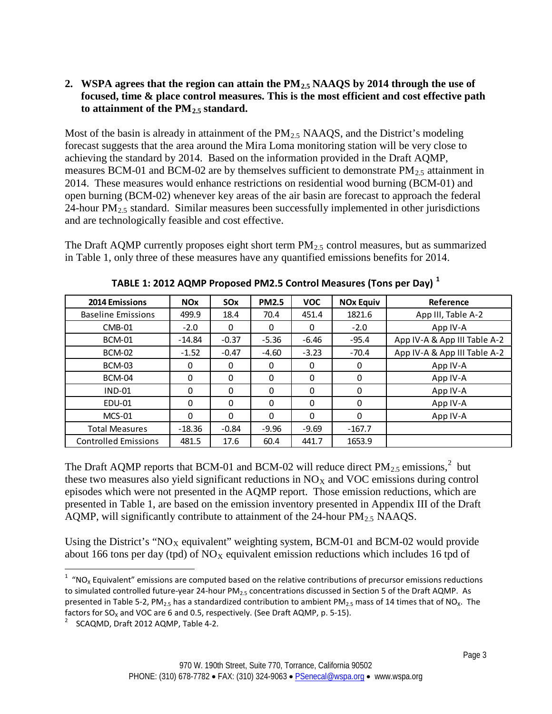# **2. WSPA agrees that the region can attain the PM2.5 NAAQS by 2014 through the use of focused, time & place control measures. This is the most efficient and cost effective path to attainment of the PM2.5 standard.**

Most of the basin is already in attainment of the  $PM_{2.5}$  NAAQS, and the District's modeling forecast suggests that the area around the Mira Loma monitoring station will be very close to achieving the standard by 2014. Based on the information provided in the Draft AQMP, measures BCM-01 and BCM-02 are by themselves sufficient to demonstrate  $PM_{2.5}$  attainment in 2014. These measures would enhance restrictions on residential wood burning (BCM-01) and open burning (BCM-02) whenever key areas of the air basin are forecast to approach the federal 24-hour  $PM<sub>2.5</sub>$  standard. Similar measures been successfully implemented in other jurisdictions and are technologically feasible and cost effective.

The Draft AQMP currently proposes eight short term  $PM_{2.5}$  control measures, but as summarized in Table 1, only three of these measures have any quantified emissions benefits for 2014.

| 2014 Emissions              | <b>NO<sub>x</sub></b> | <b>SO<sub>x</sub></b> | <b>PM2.5</b> | <b>VOC</b> | <b>NOx Equiv</b> | Reference                    |
|-----------------------------|-----------------------|-----------------------|--------------|------------|------------------|------------------------------|
| <b>Baseline Emissions</b>   | 499.9                 | 18.4                  | 70.4         | 451.4      | 1821.6           | App III, Table A-2           |
| $CMB-01$                    | $-2.0$                | $\Omega$              | 0            | $\Omega$   | $-2.0$           | App IV-A                     |
| <b>BCM-01</b>               | $-14.84$              | $-0.37$               | $-5.36$      | $-6.46$    | $-95.4$          | App IV-A & App III Table A-2 |
| <b>BCM-02</b>               | $-1.52$               | $-0.47$               | $-4.60$      | $-3.23$    | $-70.4$          | App IV-A & App III Table A-2 |
| <b>BCM-03</b>               | 0                     | $\Omega$              | 0            | 0          | 0                | App IV-A                     |
| <b>BCM-04</b>               | 0                     | 0                     | 0            | 0          | 0                | App IV-A                     |
| $IND-01$                    | 0                     | $\mathbf{0}$          | 0            | $\Omega$   | $\Omega$         | App IV-A                     |
| EDU-01                      | 0                     | $\Omega$              | 0            | $\Omega$   | 0                | App IV-A                     |
| $MCS-01$                    | $\Omega$              | $\mathbf{0}$          | $\Omega$     | $\Omega$   | 0                | App IV-A                     |
| <b>Total Measures</b>       | $-18.36$              | $-0.84$               | $-9.96$      | $-9.69$    | $-167.7$         |                              |
| <b>Controlled Emissions</b> | 481.5                 | 17.6                  | 60.4         | 441.7      | 1653.9           |                              |

**TABLE 1: 2012 AQMP Proposed PM2.5 Control Measures (Tons per Day) [1](#page-2-0)**

The Draft AQMP reports that BCM-01 and BCM-0[2](#page-2-1) will reduce direct  $PM_{2.5}$  emissions,<sup>2</sup> but these two measures also yield significant reductions in  $NO<sub>X</sub>$  and VOC emissions during control episodes which were not presented in the AQMP report. Those emission reductions, which are presented in Table 1, are based on the emission inventory presented in Appendix III of the Draft AQMP, will significantly contribute to attainment of the  $24$ -hour  $PM_{2.5}$  NAAQS.

Using the District's " $NO<sub>X</sub>$  equivalent" weighting system, BCM-01 and BCM-02 would provide about 166 tons per day (tpd) of  $NO<sub>X</sub>$  equivalent emission reductions which includes 16 tpd of

<span id="page-2-0"></span> $\frac{1}{1}$  $1$  "NO<sub>x</sub> Equivalent" emissions are computed based on the relative contributions of precursor emissions reductions to simulated controlled future-year 24-hour PM<sub>2.5</sub> concentrations discussed in Section 5 of the Draft AQMP. As presented in Table 5-2, PM<sub>2.5</sub> has a standardized contribution to ambient PM<sub>2.5</sub> mass of 14 times that of NO<sub>x</sub>. The factors for  $SO_x$  and VOC are 6 and 0.5, respectively. (See Draft AQMP, p. 5-15).

<span id="page-2-1"></span>SCAQMD, Draft 2012 AQMP, Table 4-2.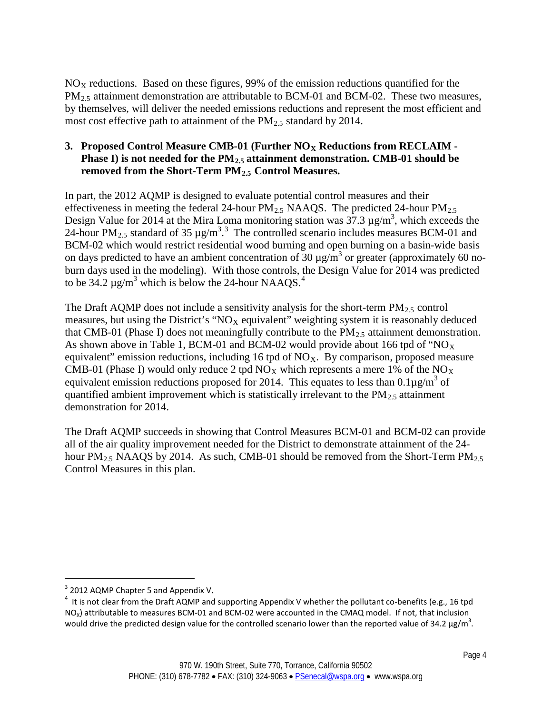$NO<sub>X</sub>$  reductions. Based on these figures, 99% of the emission reductions quantified for the  $PM_{2.5}$  attainment demonstration are attributable to BCM-01 and BCM-02. These two measures, by themselves, will deliver the needed emissions reductions and represent the most efficient and most cost effective path to attainment of the  $PM_{2,5}$  standard by 2014.

# **3.** Proposed Control Measure CMB-01 (Further NO<sub>X</sub> Reductions from RECLAIM -Phase I) is not needed for the PM<sub>2.5</sub> attainment demonstration. CMB-01 should be **removed from the Short-Term PM2.5 Control Measures.**

In part, the 2012 AQMP is designed to evaluate potential control measures and their effectiveness in meeting the federal 24-hour  $PM_{2.5}$  NAAQS. The predicted 24-hour  $PM_{2.5}$ Design Value for 2014 at the Mira Loma monitoring station was  $37.3 \,\mu$ g/m<sup>3</sup>, which exceeds the 24-hour PM<sub>2.5</sub> standard of [3](#page-3-0)5  $\mu$ g/m<sup>3</sup>.<sup>3</sup> The controlled scenario includes measures BCM-01 and BCM-02 which would restrict residential wood burning and open burning on a basin-wide basis on days predicted to have an ambient concentration of 30  $\mu$ g/m<sup>3</sup> or greater (approximately 60 noburn days used in the modeling). With those controls, the Design Value for 2014 was predicted to be 3[4](#page-3-1).2  $\mu$ g/m<sup>3</sup> which is below the 24-hour NAAQS.<sup>4</sup>

The Draft AQMP does not include a sensitivity analysis for the short-term  $PM_{2.5}$  control measures, but using the District's " $NO<sub>X</sub>$  equivalent" weighting system it is reasonably deduced that CMB-01 (Phase I) does not meaningfully contribute to the  $PM_{2.5}$  attainment demonstration. As shown above in Table 1, BCM-01 and BCM-02 would provide about 166 tpd of " $NO_X$ " equivalent" emission reductions, including 16 tpd of  $NO<sub>X</sub>$ . By comparison, proposed measure CMB-01 (Phase I) would only reduce 2 tpd  $NO<sub>X</sub>$  which represents a mere 1% of the  $NO<sub>X</sub>$ equivalent emission reductions proposed for 2014. This equates to less than  $0.1\mu\text{g/m}^3$  of quantified ambient improvement which is statistically irrelevant to the  $PM_{2.5}$  attainment demonstration for 2014.

The Draft AQMP succeeds in showing that Control Measures BCM-01 and BCM-02 can provide all of the air quality improvement needed for the District to demonstrate attainment of the 24 hour PM<sub>2.5</sub> NAAQS by 2014. As such, CMB-01 should be removed from the Short-Term PM<sub>2.5</sub> Control Measures in this plan.

 $\overline{a}$ 

<span id="page-3-0"></span> $3$  2012 AQMP Chapter 5 and Appendix V.

<span id="page-3-1"></span><sup>&</sup>lt;sup>4</sup> It is not clear from the Draft AQMP and supporting Appendix V whether the pollutant co-benefits (e.g., 16 tpd  $NO<sub>x</sub>$ ) attributable to measures BCM-01 and BCM-02 were accounted in the CMAQ model. If not, that inclusion would drive the predicted design value for the controlled scenario lower than the reported value of 34.2  $\mu$ g/m<sup>3</sup>.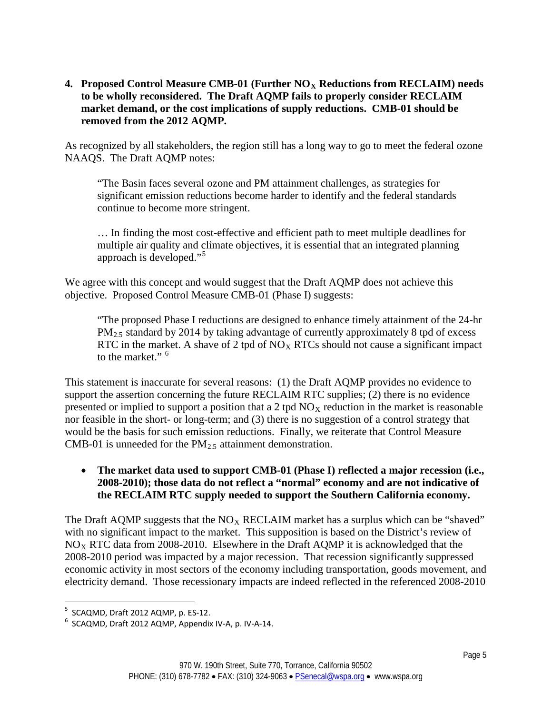4. **Proposed Control Measure CMB-01 (Further NO<sub>X</sub> Reductions from RECLAIM) needs to be wholly reconsidered. The Draft AQMP fails to properly consider RECLAIM market demand, or the cost implications of supply reductions. CMB-01 should be removed from the 2012 AQMP.**

As recognized by all stakeholders, the region still has a long way to go to meet the federal ozone NAAQS. The Draft AQMP notes:

"The Basin faces several ozone and PM attainment challenges, as strategies for significant emission reductions become harder to identify and the federal standards continue to become more stringent.

… In finding the most cost-effective and efficient path to meet multiple deadlines for multiple air quality and climate objectives, it is essential that an integrated planning approach is developed."[5](#page-4-0)

We agree with this concept and would suggest that the Draft AQMP does not achieve this objective. Proposed Control Measure CMB-01 (Phase I) suggests:

"The proposed Phase I reductions are designed to enhance timely attainment of the 24-hr PM<sub>2.5</sub> standard by 2014 by taking advantage of currently approximately 8 tpd of excess RTC in the market. A shave of 2 tpd of  $NO<sub>X</sub>$  RTCs should not cause a significant impact to the market."  $<sup>6</sup>$  $<sup>6</sup>$  $<sup>6</sup>$ </sup>

This statement is inaccurate for several reasons: (1) the Draft AQMP provides no evidence to support the assertion concerning the future RECLAIM RTC supplies; (2) there is no evidence presented or implied to support a position that a 2 tpd  $NO<sub>X</sub>$  reduction in the market is reasonable nor feasible in the short- or long-term; and (3) there is no suggestion of a control strategy that would be the basis for such emission reductions. Finally, we reiterate that Control Measure CMB-01 is unneeded for the  $PM<sub>2.5</sub>$  attainment demonstration.

## • **The market data used to support CMB-01 (Phase I) reflected a major recession (i.e., 2008-2010); those data do not reflect a "normal" economy and are not indicative of the RECLAIM RTC supply needed to support the Southern California economy.**

The Draft AQMP suggests that the  $NO<sub>X</sub>$  RECLAIM market has a surplus which can be "shaved" with no significant impact to the market. This supposition is based on the District's review of  $NO<sub>X</sub> RTC$  data from 2008-2010. Elsewhere in the Draft AQMP it is acknowledged that the 2008-2010 period was impacted by a major recession. That recession significantly suppressed economic activity in most sectors of the economy including transportation, goods movement, and electricity demand. Those recessionary impacts are indeed reflected in the referenced 2008-2010

<sup>-&</sup>lt;br>5  $5$  SCAQMD, Draft 2012 AQMP, p. ES-12.

<span id="page-4-1"></span><span id="page-4-0"></span> $6$  SCAQMD, Draft 2012 AQMP, Appendix IV-A, p. IV-A-14.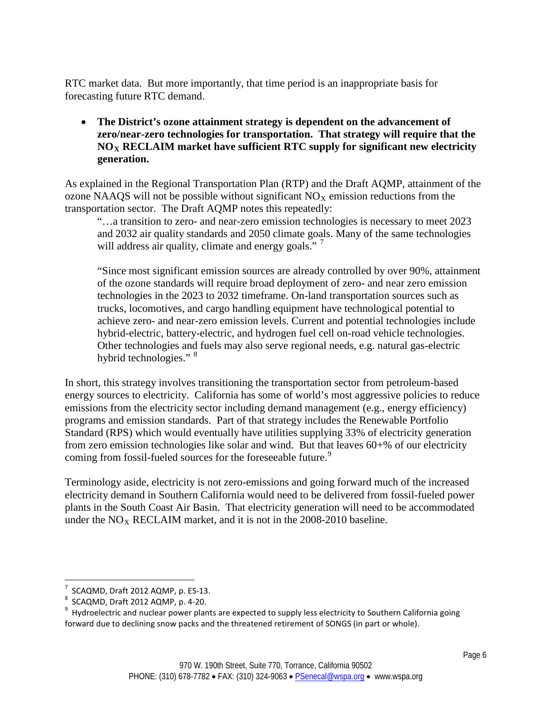RTC market data. But more importantly, that time period is an inappropriate basis for forecasting future RTC demand.

• **The District's ozone attainment strategy is dependent on the advancement of zero/near-zero technologies for transportation. That strategy will require that the**   $NO<sub>X</sub>$  **RECLAIM** market have sufficient RTC supply for significant new electricity **generation.**

As explained in the Regional Transportation Plan (RTP) and the Draft AQMP, attainment of the ozone NAAQS will not be possible without significant  $NO<sub>X</sub>$  emission reductions from the transportation sector. The Draft AQMP notes this repeatedly:

"…a transition to zero- and near-zero emission technologies is necessary to meet 2023 and 2032 air quality standards and 2050 climate goals. Many of the same technologies will address air quality, climate and energy goals."  $<sup>7</sup>$  $<sup>7</sup>$  $<sup>7</sup>$ </sup>

"Since most significant emission sources are already controlled by over 90%, attainment of the ozone standards will require broad deployment of zero- and near zero emission technologies in the 2023 to 2032 timeframe. On-land transportation sources such as trucks, locomotives, and cargo handling equipment have technological potential to achieve zero- and near-zero emission levels. Current and potential technologies include hybrid-electric, battery-electric, and hydrogen fuel cell on-road vehicle technologies. Other technologies and fuels may also serve regional needs, e.g. natural gas-electric hybrid technologies." <sup>[8](#page-5-1)</sup>

In short, this strategy involves transitioning the transportation sector from petroleum-based energy sources to electricity. California has some of world's most aggressive policies to reduce emissions from the electricity sector including demand management (e.g., energy efficiency) programs and emission standards. Part of that strategy includes the Renewable Portfolio Standard (RPS) which would eventually have utilities supplying 33% of electricity generation from zero emission technologies like solar and wind. But that leaves 60+% of our electricity coming from fossil-fueled sources for the foreseeable future.<sup>[9](#page-5-2)</sup>

Terminology aside, electricity is not zero-emissions and going forward much of the increased electricity demand in Southern California would need to be delivered from fossil-fueled power plants in the South Coast Air Basin. That electricity generation will need to be accommodated under the  $NO<sub>X</sub>$  RECLAIM market, and it is not in the 2008-2010 baseline.

<sup>-&</sup>lt;br>7 SCAQMD, Draft 2012 AQMP, p. ES-13.

<span id="page-5-1"></span><span id="page-5-0"></span> $8$  SCAQMD, Draft 2012 AQMP, p. 4-20.

<span id="page-5-2"></span> $9$  Hydroelectric and nuclear power plants are expected to supply less electricity to Southern California going forward due to declining snow packs and the threatened retirement of SONGS (in part or whole).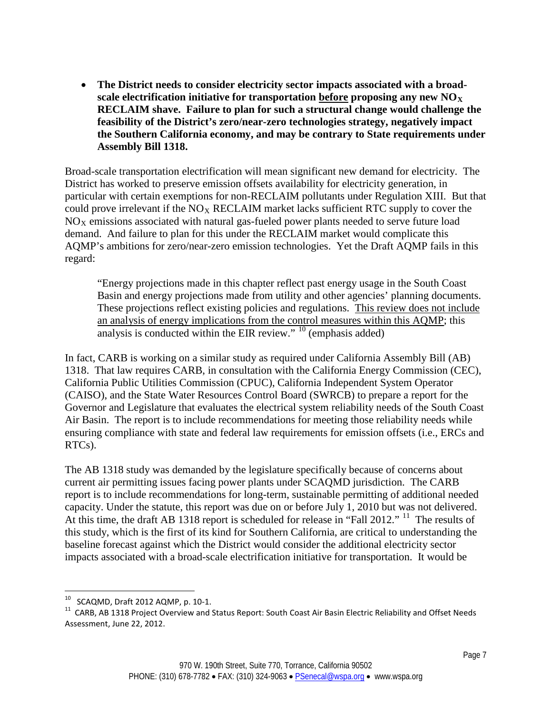• **The District needs to consider electricity sector impacts associated with a broadscale electrification initiative for transportation before proposing any new NOX RECLAIM shave. Failure to plan for such a structural change would challenge the feasibility of the District's zero/near-zero technologies strategy, negatively impact the Southern California economy, and may be contrary to State requirements under Assembly Bill 1318.**

Broad-scale transportation electrification will mean significant new demand for electricity. The District has worked to preserve emission offsets availability for electricity generation, in particular with certain exemptions for non-RECLAIM pollutants under Regulation XIII. But that could prove irrelevant if the  $NO<sub>X</sub> RECLAIM$  market lacks sufficient RTC supply to cover the  $NO<sub>X</sub>$  emissions associated with natural gas-fueled power plants needed to serve future load demand. And failure to plan for this under the RECLAIM market would complicate this AQMP's ambitions for zero/near-zero emission technologies. Yet the Draft AQMP fails in this regard:

"Energy projections made in this chapter reflect past energy usage in the South Coast Basin and energy projections made from utility and other agencies' planning documents. These projections reflect existing policies and regulations. This review does not include an analysis of energy implications from the control measures within this AQMP; this analysis is conducted within the EIR review."  $10$  (emphasis added)

In fact, CARB is working on a similar study as required under California Assembly Bill (AB) 1318. That law requires CARB, in consultation with the California Energy Commission (CEC), California Public Utilities Commission (CPUC), California Independent System Operator (CAISO), and the State Water Resources Control Board (SWRCB) to prepare a report for the Governor and Legislature that evaluates the electrical system reliability needs of the South Coast Air Basin. The report is to include recommendations for meeting those reliability needs while ensuring compliance with state and federal law requirements for emission offsets (i.e., ERCs and RTCs).

The AB 1318 study was demanded by the legislature specifically because of concerns about current air permitting issues facing power plants under SCAQMD jurisdiction. The CARB report is to include recommendations for long-term, sustainable permitting of additional needed capacity. Under the statute, this report was due on or before July 1, 2010 but was not delivered. At this time, the draft AB 1318 report is scheduled for release in "Fall 2012." <sup>11</sup> The results of this study, which is the first of its kind for Southern California, are critical to understanding the baseline forecast against which the District would consider the additional electricity sector impacts associated with a broad-scale electrification initiative for transportation. It would be

<span id="page-6-1"></span><span id="page-6-0"></span><sup>&</sup>lt;sup>10</sup> SCAQMD, Draft 2012 AQMP, p. 10-1.<br><sup>11</sup> CARB, AB 1318 Project Overview and Status Report: South Coast Air Basin Electric Reliability and Offset Needs Assessment, June 22, 2012.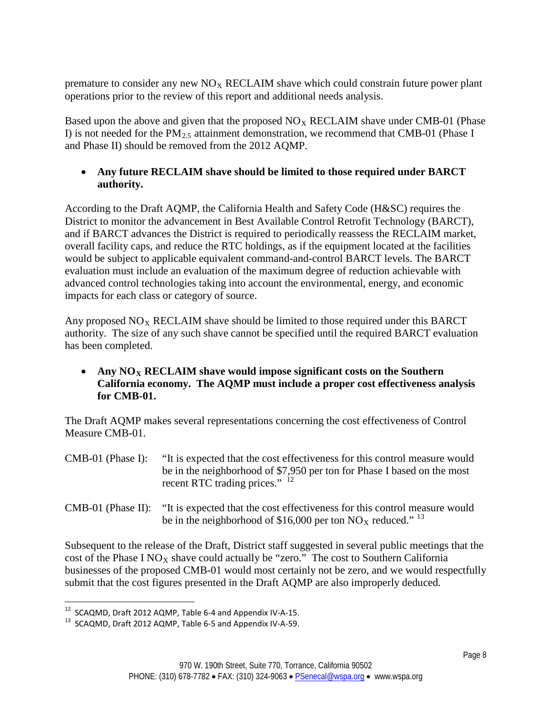premature to consider any new  $N_{X}$  RECLAIM shave which could constrain future power plant operations prior to the review of this report and additional needs analysis.

Based upon the above and given that the proposed  $NO<sub>X</sub> RECLAIM$  shave under CMB-01 (Phase I) is not needed for the  $PM_{2.5}$  attainment demonstration, we recommend that CMB-01 (Phase I and Phase II) should be removed from the 2012 AQMP.

# • **Any future RECLAIM shave should be limited to those required under BARCT authority.**

According to the Draft AQMP, the California Health and Safety Code (H&SC) requires the District to monitor the advancement in Best Available Control Retrofit Technology (BARCT), and if BARCT advances the District is required to periodically reassess the RECLAIM market, overall facility caps, and reduce the RTC holdings, as if the equipment located at the facilities would be subject to applicable equivalent command-and-control BARCT levels. The BARCT evaluation must include an evaluation of the maximum degree of reduction achievable with advanced control technologies taking into account the environmental, energy, and economic impacts for each class or category of source.

Any proposed  $NO<sub>X</sub>$  RECLAIM shave should be limited to those required under this BARCT authority. The size of any such shave cannot be specified until the required BARCT evaluation has been completed.

Any  $NO<sub>X</sub>$  **RECLAIM** shave would impose significant costs on the Southern **California economy. The AQMP must include a proper cost effectiveness analysis for CMB-01.**

The Draft AQMP makes several representations concerning the cost effectiveness of Control Measure CMB-01.

- CMB-01 (Phase I): "It is expected that the cost effectiveness for this control measure would be in the neighborhood of \$7,950 per ton for Phase I based on the most recent RTC trading prices." <sup>[12](#page-7-0)</sup>
- CMB-01 (Phase II): "It is expected that the cost effectiveness for this control measure would be in the neighborhood of \$16,000 per ton  $NO<sub>X</sub>$  reduced."<sup>[13](#page-7-1)</sup>

Subsequent to the release of the Draft, District staff suggested in several public meetings that the cost of the Phase I NO<sub>X</sub> shave could actually be "zero." The cost to Southern California businesses of the proposed CMB-01 would most certainly not be zero, and we would respectfully submit that the cost figures presented in the Draft AQMP are also improperly deduced.

<span id="page-7-1"></span><span id="page-7-0"></span><sup>&</sup>lt;sup>12</sup> SCAQMD, Draft 2012 AQMP, Table 6-4 and Appendix IV-A-15.<br><sup>13</sup> SCAQMD, Draft 2012 AQMP, Table 6-5 and Appendix IV-A-59.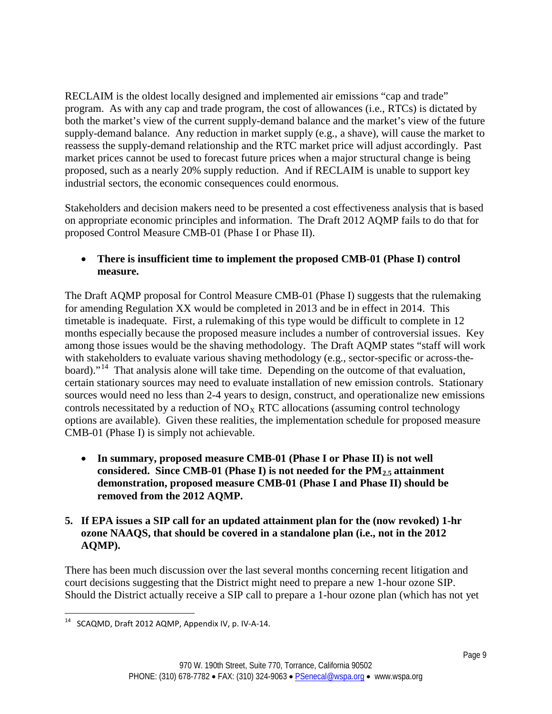RECLAIM is the oldest locally designed and implemented air emissions "cap and trade" program. As with any cap and trade program, the cost of allowances (i.e., RTCs) is dictated by both the market's view of the current supply-demand balance and the market's view of the future supply-demand balance. Any reduction in market supply (e.g., a shave), will cause the market to reassess the supply-demand relationship and the RTC market price will adjust accordingly. Past market prices cannot be used to forecast future prices when a major structural change is being proposed, such as a nearly 20% supply reduction. And if RECLAIM is unable to support key industrial sectors, the economic consequences could enormous.

Stakeholders and decision makers need to be presented a cost effectiveness analysis that is based on appropriate economic principles and information. The Draft 2012 AQMP fails to do that for proposed Control Measure CMB-01 (Phase I or Phase II).

## • **There is insufficient time to implement the proposed CMB-01 (Phase I) control measure.**

The Draft AQMP proposal for Control Measure CMB-01 (Phase I) suggests that the rulemaking for amending Regulation XX would be completed in 2013 and be in effect in 2014. This timetable is inadequate. First, a rulemaking of this type would be difficult to complete in 12 months especially because the proposed measure includes a number of controversial issues. Key among those issues would be the shaving methodology. The Draft AQMP states "staff will work with stakeholders to evaluate various shaving methodology (e.g., sector-specific or across-the-board)."<sup>[14](#page-8-0)</sup> That analysis alone will take time. Depending on the outcome of that evaluation, certain stationary sources may need to evaluate installation of new emission controls. Stationary sources would need no less than 2-4 years to design, construct, and operationalize new emissions controls necessitated by a reduction of  $NO_X$  RTC allocations (assuming control technology options are available). Given these realities, the implementation schedule for proposed measure CMB-01 (Phase I) is simply not achievable.

• **In summary, proposed measure CMB-01 (Phase I or Phase II) is not well**  considered. Since CMB-01 (Phase I) is not needed for the PM<sub>2.5</sub> attainment **demonstration, proposed measure CMB-01 (Phase I and Phase II) should be removed from the 2012 AQMP.**

## **5. If EPA issues a SIP call for an updated attainment plan for the (now revoked) 1-hr ozone NAAQS, that should be covered in a standalone plan (i.e., not in the 2012 AQMP).**

There has been much discussion over the last several months concerning recent litigation and court decisions suggesting that the District might need to prepare a new 1-hour ozone SIP. Should the District actually receive a SIP call to prepare a 1-hour ozone plan (which has not yet

<span id="page-8-0"></span>14 SCAQMD, Draft 2012 AQMP, Appendix IV, p. IV-A-14.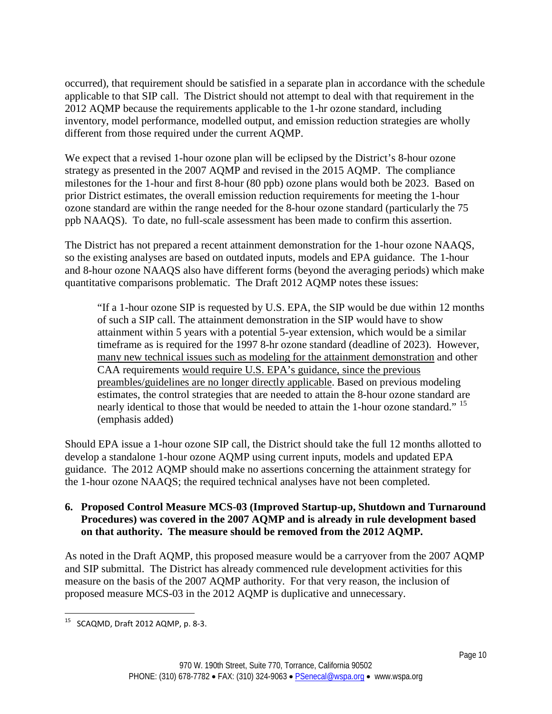occurred), that requirement should be satisfied in a separate plan in accordance with the schedule applicable to that SIP call. The District should not attempt to deal with that requirement in the 2012 AQMP because the requirements applicable to the 1-hr ozone standard, including inventory, model performance, modelled output, and emission reduction strategies are wholly different from those required under the current AQMP.

We expect that a revised 1-hour ozone plan will be eclipsed by the District's 8-hour ozone strategy as presented in the 2007 AQMP and revised in the 2015 AQMP. The compliance milestones for the 1-hour and first 8-hour (80 ppb) ozone plans would both be 2023. Based on prior District estimates, the overall emission reduction requirements for meeting the 1-hour ozone standard are within the range needed for the 8-hour ozone standard (particularly the 75 ppb NAAQS). To date, no full-scale assessment has been made to confirm this assertion.

The District has not prepared a recent attainment demonstration for the 1-hour ozone NAAQS, so the existing analyses are based on outdated inputs, models and EPA guidance. The 1-hour and 8-hour ozone NAAQS also have different forms (beyond the averaging periods) which make quantitative comparisons problematic. The Draft 2012 AQMP notes these issues:

"If a 1-hour ozone SIP is requested by U.S. EPA, the SIP would be due within 12 months of such a SIP call. The attainment demonstration in the SIP would have to show attainment within 5 years with a potential 5-year extension, which would be a similar timeframe as is required for the 1997 8-hr ozone standard (deadline of 2023). However, many new technical issues such as modeling for the attainment demonstration and other CAA requirements would require U.S. EPA's guidance, since the previous preambles/guidelines are no longer directly applicable. Based on previous modeling estimates, the control strategies that are needed to attain the 8-hour ozone standard are nearly identical to those that would be needed to attain the 1-hour ozone standard." [15](#page-9-0) (emphasis added)

Should EPA issue a 1-hour ozone SIP call, the District should take the full 12 months allotted to develop a standalone 1-hour ozone AQMP using current inputs, models and updated EPA guidance. The 2012 AQMP should make no assertions concerning the attainment strategy for the 1-hour ozone NAAQS; the required technical analyses have not been completed.

#### **6. Proposed Control Measure MCS-03 (Improved Startup-up, Shutdown and Turnaround Procedures) was covered in the 2007 AQMP and is already in rule development based on that authority. The measure should be removed from the 2012 AQMP.**

As noted in the Draft AQMP, this proposed measure would be a carryover from the 2007 AQMP and SIP submittal. The District has already commenced rule development activities for this measure on the basis of the 2007 AQMP authority. For that very reason, the inclusion of proposed measure MCS-03 in the 2012 AQMP is duplicative and unnecessary.

<span id="page-9-0"></span>15 SCAQMD, Draft 2012 AQMP, p. 8-3.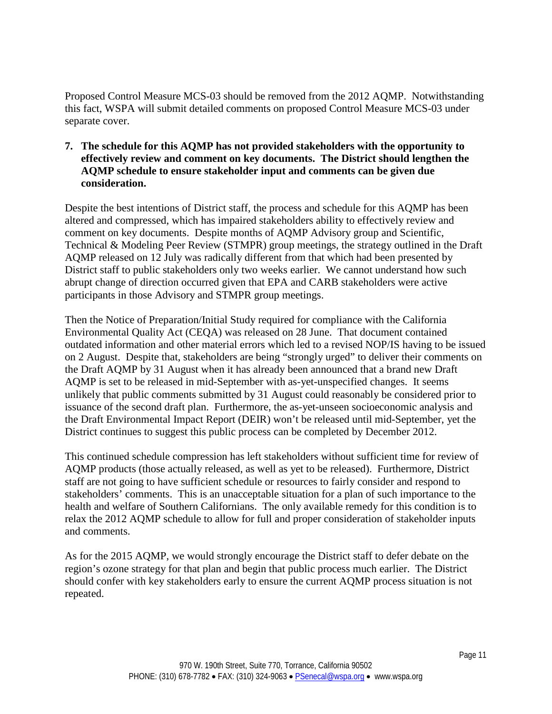Proposed Control Measure MCS-03 should be removed from the 2012 AQMP. Notwithstanding this fact, WSPA will submit detailed comments on proposed Control Measure MCS-03 under separate cover.

**7. The schedule for this AQMP has not provided stakeholders with the opportunity to effectively review and comment on key documents. The District should lengthen the AQMP schedule to ensure stakeholder input and comments can be given due consideration.**

Despite the best intentions of District staff, the process and schedule for this AQMP has been altered and compressed, which has impaired stakeholders ability to effectively review and comment on key documents. Despite months of AQMP Advisory group and Scientific, Technical & Modeling Peer Review (STMPR) group meetings, the strategy outlined in the Draft AQMP released on 12 July was radically different from that which had been presented by District staff to public stakeholders only two weeks earlier. We cannot understand how such abrupt change of direction occurred given that EPA and CARB stakeholders were active participants in those Advisory and STMPR group meetings.

Then the Notice of Preparation/Initial Study required for compliance with the California Environmental Quality Act (CEQA) was released on 28 June. That document contained outdated information and other material errors which led to a revised NOP/IS having to be issued on 2 August. Despite that, stakeholders are being "strongly urged" to deliver their comments on the Draft AQMP by 31 August when it has already been announced that a brand new Draft AQMP is set to be released in mid-September with as-yet-unspecified changes. It seems unlikely that public comments submitted by 31 August could reasonably be considered prior to issuance of the second draft plan. Furthermore, the as-yet-unseen socioeconomic analysis and the Draft Environmental Impact Report (DEIR) won't be released until mid-September, yet the District continues to suggest this public process can be completed by December 2012.

This continued schedule compression has left stakeholders without sufficient time for review of AQMP products (those actually released, as well as yet to be released). Furthermore, District staff are not going to have sufficient schedule or resources to fairly consider and respond to stakeholders' comments. This is an unacceptable situation for a plan of such importance to the health and welfare of Southern Californians. The only available remedy for this condition is to relax the 2012 AQMP schedule to allow for full and proper consideration of stakeholder inputs and comments.

As for the 2015 AQMP, we would strongly encourage the District staff to defer debate on the region's ozone strategy for that plan and begin that public process much earlier. The District should confer with key stakeholders early to ensure the current AQMP process situation is not repeated.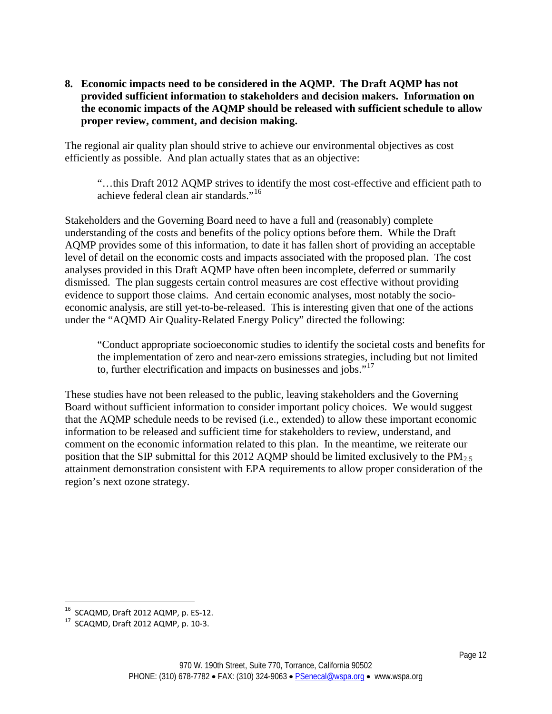#### **8. Economic impacts need to be considered in the AQMP. The Draft AQMP has not provided sufficient information to stakeholders and decision makers. Information on the economic impacts of the AQMP should be released with sufficient schedule to allow proper review, comment, and decision making.**

The regional air quality plan should strive to achieve our environmental objectives as cost efficiently as possible. And plan actually states that as an objective:

"…this Draft 2012 AQMP strives to identify the most cost-effective and efficient path to achieve federal clean air standards."<sup>[16](#page-11-0)</sup>

Stakeholders and the Governing Board need to have a full and (reasonably) complete understanding of the costs and benefits of the policy options before them. While the Draft AQMP provides some of this information, to date it has fallen short of providing an acceptable level of detail on the economic costs and impacts associated with the proposed plan. The cost analyses provided in this Draft AQMP have often been incomplete, deferred or summarily dismissed. The plan suggests certain control measures are cost effective without providing evidence to support those claims. And certain economic analyses, most notably the socioeconomic analysis, are still yet-to-be-released. This is interesting given that one of the actions under the "AQMD Air Quality-Related Energy Policy" directed the following:

"Conduct appropriate socioeconomic studies to identify the societal costs and benefits for the implementation of zero and near-zero emissions strategies, including but not limited to, further electrification and impacts on businesses and jobs." $17$ 

These studies have not been released to the public, leaving stakeholders and the Governing Board without sufficient information to consider important policy choices. We would suggest that the AQMP schedule needs to be revised (i.e., extended) to allow these important economic information to be released and sufficient time for stakeholders to review, understand, and comment on the economic information related to this plan. In the meantime, we reiterate our position that the SIP submittal for this 2012 AQMP should be limited exclusively to the  $PM_{2.5}$ attainment demonstration consistent with EPA requirements to allow proper consideration of the region's next ozone strategy.

<span id="page-11-1"></span><span id="page-11-0"></span><sup>&</sup>lt;sup>16</sup> SCAQMD, Draft 2012 AQMP, p. ES-12.<br><sup>17</sup> SCAQMD, Draft 2012 AQMP, p. 10-3.